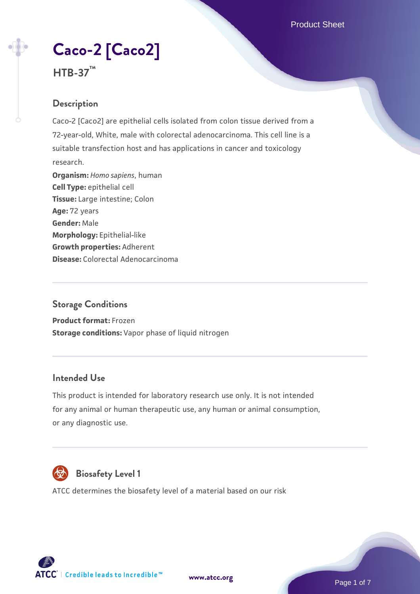Product Sheet

# **[Caco-2 \[Caco2\]](https://www.atcc.org/products/htb-37)**



#### **Description**

Caco-2 [Caco2] are epithelial cells isolated from colon tissue derived from a 72-year-old, White, male with colorectal adenocarcinoma. This cell line is a suitable transfection host and has applications in cancer and toxicology research. **Organism:** *Homo sapiens*, human **Cell Type:** epithelial cell **Tissue:** Large intestine; Colon **Age:** 72 years **Gender:** Male **Morphology:** Epithelial-like **Growth properties:** Adherent **Disease:** Colorectal Adenocarcinoma

#### **Storage Conditions**

**Product format:** Frozen **Storage conditions:** Vapor phase of liquid nitrogen

#### **Intended Use**

This product is intended for laboratory research use only. It is not intended for any animal or human therapeutic use, any human or animal consumption, or any diagnostic use.



### **Biosafety Level 1**

ATCC determines the biosafety level of a material based on our risk



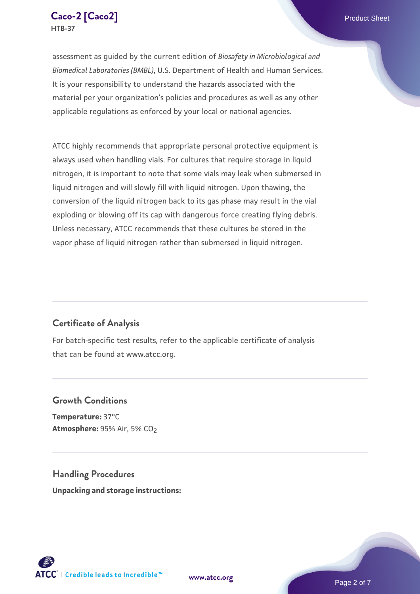

assessment as guided by the current edition of *Biosafety in Microbiological and Biomedical Laboratories (BMBL)*, U.S. Department of Health and Human Services. It is your responsibility to understand the hazards associated with the material per your organization's policies and procedures as well as any other applicable regulations as enforced by your local or national agencies.

ATCC highly recommends that appropriate personal protective equipment is always used when handling vials. For cultures that require storage in liquid nitrogen, it is important to note that some vials may leak when submersed in liquid nitrogen and will slowly fill with liquid nitrogen. Upon thawing, the conversion of the liquid nitrogen back to its gas phase may result in the vial exploding or blowing off its cap with dangerous force creating flying debris. Unless necessary, ATCC recommends that these cultures be stored in the vapor phase of liquid nitrogen rather than submersed in liquid nitrogen.

#### **Certificate of Analysis**

For batch-specific test results, refer to the applicable certificate of analysis that can be found at www.atcc.org.

#### **Growth Conditions**

**Temperature:** 37°C **Atmosphere: 95% Air, 5% CO<sub>2</sub>** 

**Handling Procedures Unpacking and storage instructions:**



**[www.atcc.org](http://www.atcc.org)**

Page 2 of 7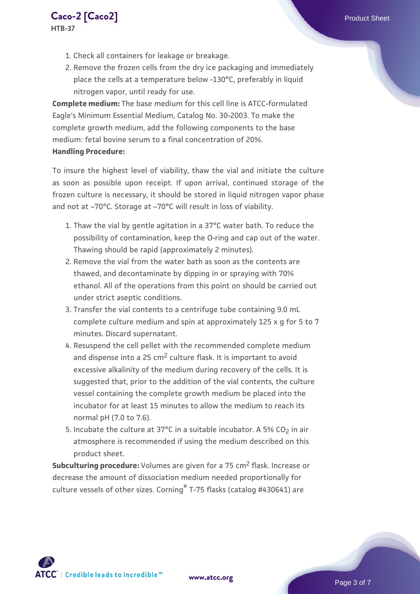- **HTB-37**
	- 1. Check all containers for leakage or breakage.
	- 2. Remove the frozen cells from the dry ice packaging and immediately place the cells at a temperature below -130°C, preferably in liquid nitrogen vapor, until ready for use.

**Complete medium:** The base medium for this cell line is ATCC-formulated Eagle's Minimum Essential Medium, Catalog No. 30-2003. To make the complete growth medium, add the following components to the base medium: fetal bovine serum to a final concentration of 20%. **Handling Procedure:**

To insure the highest level of viability, thaw the vial and initiate the culture as soon as possible upon receipt. If upon arrival, continued storage of the frozen culture is necessary, it should be stored in liquid nitrogen vapor phase and not at –70°C. Storage at –70°C will result in loss of viability.

- 1. Thaw the vial by gentle agitation in a 37°C water bath. To reduce the possibility of contamination, keep the O-ring and cap out of the water. Thawing should be rapid (approximately 2 minutes).
- 2. Remove the vial from the water bath as soon as the contents are thawed, and decontaminate by dipping in or spraying with 70% ethanol. All of the operations from this point on should be carried out under strict aseptic conditions.
- 3. Transfer the vial contents to a centrifuge tube containing 9.0 mL complete culture medium and spin at approximately 125 x g for 5 to 7 minutes. Discard supernatant.
- 4. Resuspend the cell pellet with the recommended complete medium and dispense into a  $25 \text{ cm}^2$  culture flask. It is important to avoid excessive alkalinity of the medium during recovery of the cells. It is suggested that, prior to the addition of the vial contents, the culture vessel containing the complete growth medium be placed into the incubator for at least 15 minutes to allow the medium to reach its normal pH (7.0 to 7.6).
- 5. Incubate the culture at 37°C in a suitable incubator. A 5% CO<sub>2</sub> in air atmosphere is recommended if using the medium described on this product sheet.

**Subculturing procedure:** Volumes are given for a 75 cm<sup>2</sup> flask. Increase or decrease the amount of dissociation medium needed proportionally for culture vessels of other sizes. Corning® T-75 flasks (catalog #430641) are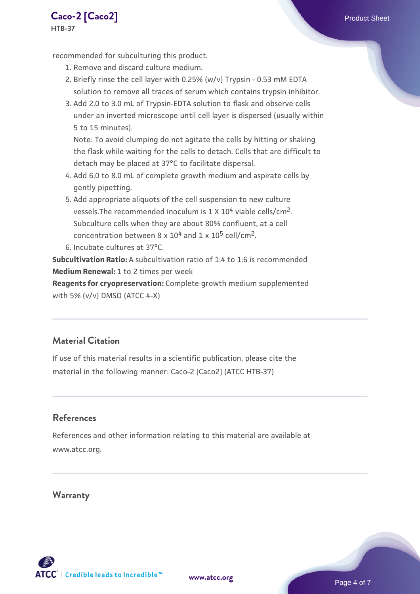**[Caco-2 \[Caco2\]](https://www.atcc.org/products/htb-37)** Product Sheet **HTB-37**

recommended for subculturing this product.

- 1. Remove and discard culture medium.
- 2. Briefly rinse the cell layer with 0.25% (w/v) Trypsin 0.53 mM EDTA solution to remove all traces of serum which contains trypsin inhibitor.
- 3. Add 2.0 to 3.0 mL of Trypsin-EDTA solution to flask and observe cells under an inverted microscope until cell layer is dispersed (usually within 5 to 15 minutes).

Note: To avoid clumping do not agitate the cells by hitting or shaking the flask while waiting for the cells to detach. Cells that are difficult to detach may be placed at 37°C to facilitate dispersal.

- Add 6.0 to 8.0 mL of complete growth medium and aspirate cells by 4. gently pipetting.
- 5. Add appropriate aliquots of the cell suspension to new culture vessels. The recommended inoculum is  $1 \times 10^4$  viable cells/cm<sup>2</sup>. Subculture cells when they are about 80% confluent, at a cell concentration between  $8 \times 10^4$  and  $1 \times 10^5$  cell/cm<sup>2</sup>.
- 6. Incubate cultures at 37°C.

**Subcultivation Ratio:** A subcultivation ratio of 1:4 to 1:6 is recommended **Medium Renewal:** 1 to 2 times per week

**Reagents for cryopreservation:** Complete growth medium supplemented with 5% (v/v) DMSO (ATCC 4-X)

#### **Material Citation**

If use of this material results in a scientific publication, please cite the material in the following manner: Caco-2 [Caco2] (ATCC HTB-37)

#### **References**

References and other information relating to this material are available at www.atcc.org.

**Warranty**

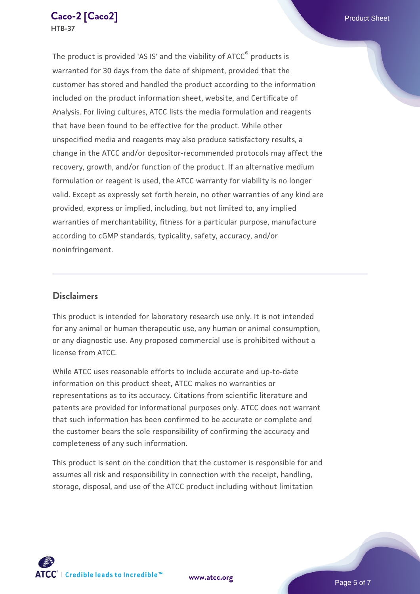The product is provided 'AS IS' and the viability of ATCC® products is warranted for 30 days from the date of shipment, provided that the customer has stored and handled the product according to the information included on the product information sheet, website, and Certificate of Analysis. For living cultures, ATCC lists the media formulation and reagents that have been found to be effective for the product. While other unspecified media and reagents may also produce satisfactory results, a change in the ATCC and/or depositor-recommended protocols may affect the recovery, growth, and/or function of the product. If an alternative medium formulation or reagent is used, the ATCC warranty for viability is no longer valid. Except as expressly set forth herein, no other warranties of any kind are provided, express or implied, including, but not limited to, any implied warranties of merchantability, fitness for a particular purpose, manufacture according to cGMP standards, typicality, safety, accuracy, and/or noninfringement.

#### **Disclaimers**

This product is intended for laboratory research use only. It is not intended for any animal or human therapeutic use, any human or animal consumption, or any diagnostic use. Any proposed commercial use is prohibited without a license from ATCC.

While ATCC uses reasonable efforts to include accurate and up-to-date information on this product sheet, ATCC makes no warranties or representations as to its accuracy. Citations from scientific literature and patents are provided for informational purposes only. ATCC does not warrant that such information has been confirmed to be accurate or complete and the customer bears the sole responsibility of confirming the accuracy and completeness of any such information.

This product is sent on the condition that the customer is responsible for and assumes all risk and responsibility in connection with the receipt, handling, storage, disposal, and use of the ATCC product including without limitation



**[www.atcc.org](http://www.atcc.org)**

Page 5 of 7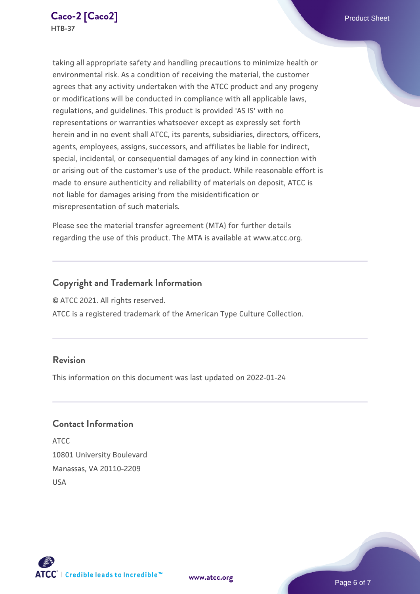taking all appropriate safety and handling precautions to minimize health or environmental risk. As a condition of receiving the material, the customer agrees that any activity undertaken with the ATCC product and any progeny or modifications will be conducted in compliance with all applicable laws, regulations, and guidelines. This product is provided 'AS IS' with no representations or warranties whatsoever except as expressly set forth herein and in no event shall ATCC, its parents, subsidiaries, directors, officers, agents, employees, assigns, successors, and affiliates be liable for indirect, special, incidental, or consequential damages of any kind in connection with or arising out of the customer's use of the product. While reasonable effort is made to ensure authenticity and reliability of materials on deposit, ATCC is not liable for damages arising from the misidentification or misrepresentation of such materials.

Please see the material transfer agreement (MTA) for further details regarding the use of this product. The MTA is available at www.atcc.org.

#### **Copyright and Trademark Information**

© ATCC 2021. All rights reserved.

ATCC is a registered trademark of the American Type Culture Collection.

#### **Revision**

This information on this document was last updated on 2022-01-24

#### **Contact Information**

ATCC 10801 University Boulevard Manassas, VA 20110-2209 USA